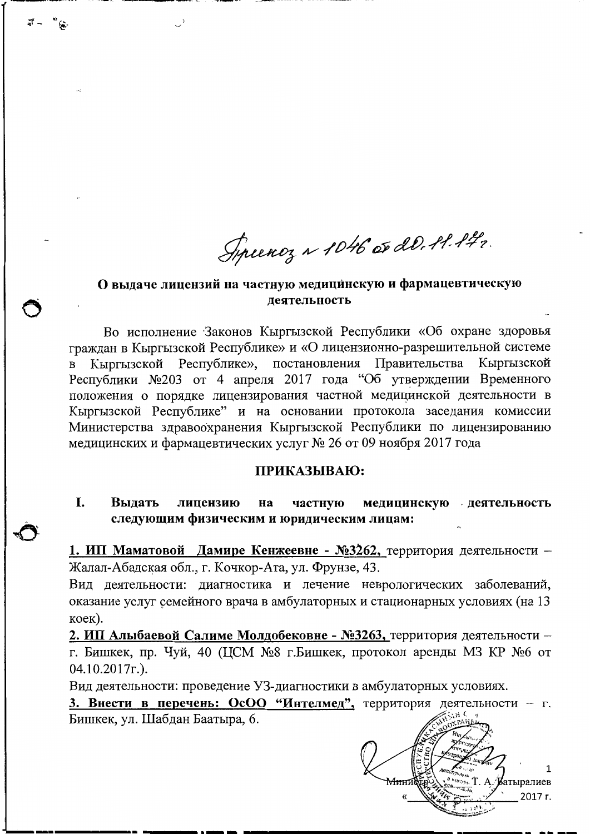Syriency ~ 1046 or 20, 11.142.

### О выдаче лицензий на частную медицинскую и фармацевтическую леятельность

Во исполнение Законов Кыргызской Республики «Об охране здоровья граждан в Кыргызской Республике» и «О лицензионно-разрешительной системе Кыргызской Республике», постановления Правительства Кыргызской  $\overline{B}$ Республики №203 от 4 апреля 2017 года "Об утверждении Временного положения о порядке лицензирования частной медицинской деятельности в Кыргызской Республике" и на основании протокола заседания комиссии Министерства здравоохранения Кыргызской Республики по лицензированию медицинских и фармацевтических услуг № 26 от 09 ноября 2017 года

#### ПРИКАЗЫВАЮ:

I. Вылать лицензию частную медицинскую деятельность Ha следующим физическим и юридическим лицам:

1. ИП Маматовой Дамире Кенжеевне - №3262, территория деятельности -Жалал-Абадская обл., г. Кочкор-Ата, ул. Фрунзе, 43.

Вид деятельности: диагностика и лечение неврологических заболеваний, оказание услуг семейного врача в амбулаторных и стационарных условиях (на 13 коек).

2. ИП Алыбаевой Салиме Молдобековне - №3263, территория деятельности г. Бишкек, пр. Чуй, 40 (ЦСМ №8 г. Бишкек, протокол аренды МЗ КР №6 от  $04.10.2017$ r.).

Вид деятельности: проведение УЗ-диагностики в амбулаторных условиях.

3. Внести в перечень: ОсОО "Интелмед", территория деятельности - г. Бишкек, ул. Шабдан Баатыра, 6.

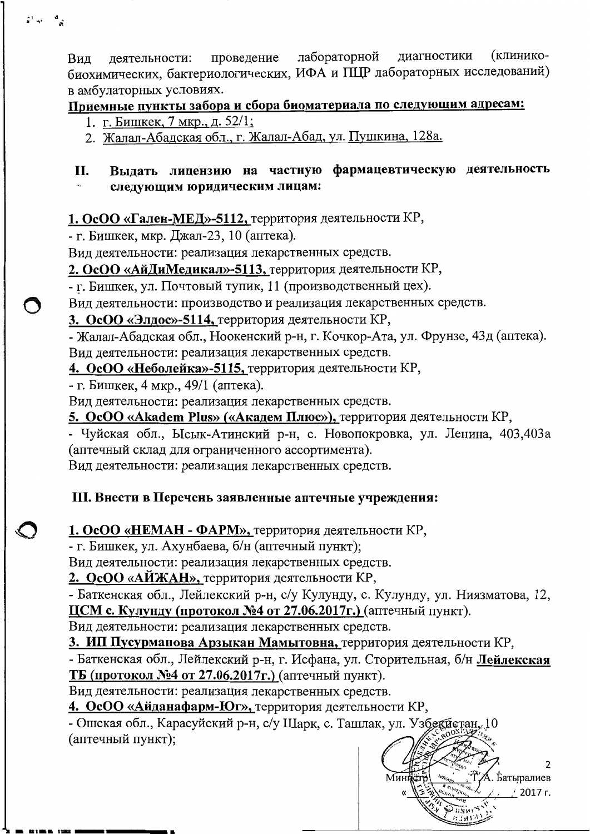(клиниколабораторной лиагностики деятельности: проведение Вил биохимических, бактериологических, ИФА и ПЦР лабораторных исследований) в амбулаторных условиях.

# Приемные пункты забора и сбора биоматериала по следующим адресам:

- 1. г. Бишкек, 7 мкр., д. 52/1;
- 2. Жалал-Абадская обл., г. Жалал-Абад, ул. Пушкина, 128а.

#### Выдать лицензию на частную фармацевтическую деятельность **II.** следующим юридическим лицам:

## 1. ОсОО «Гален-МЕД»-5112, территория деятельности КР,

- г. Бишкек, мкр. Джал-23, 10 (аптека).

Вид деятельности: реализация лекарственных средств.

2. ОсОО «АйДиМедикал»-5113, территория деятельности КР,

- г. Бишкек, ул. Почтовый тупик, 11 (производственный цех).

Вид деятельности: производство и реализация лекарственных средств.

3. ОсОО «Элдос»-5114, территория деятельности КР,

- Жалал-Абадская обл., Ноокенский р-н, г. Кочкор-Ата, ул. Фрунзе, 43д (аптека). Вид деятельности: реализация лекарственных средств.

4. ОсОО «Неболейка»-5115, территория деятельности КР,

- г. Бишкек, 4 мкр., 49/1 (аптека).

Вид деятельности: реализация лекарственных средств.

5. ОсОО «Akadem Plus» («Академ Плюс»), территория деятельности КР,

- Чуйская обл., Ысык-Атинский р-н, с. Новопокровка, ул. Ленина, 403,403а (аптечный склад для ограниченного ассортимента).

Вид деятельности: реализация лекарственных средств.

## III. Внести в Перечень заявленные аптечные учреждения:

1. ОсОО «НЕМАН - ФАРМ», территория деятельности КР,

- г. Бишкек, ул. Ахунбаева, б/н (аптечный пункт);

Вид деятельности: реализация лекарственных средств.

2. ОсОО «АЙЖАН», территория деятельности КР,

- Баткенская обл., Лейлекский р-н, с/у Кулунду, с. Кулунду, ул. Ниязматова, 12, ЦСМ с. Кулунду (протокол №4 от 27.06.2017г.) (аптечный пункт).

Вид деятельности: реализация лекарственных средств.

3. ИП Пусурманова Арзыкан Мамытовна, территория деятельности КР,

- Баткенская обл., Лейлекский р-н, г. Исфана, ул. Сторительная, б/н Лейлекская ТБ (протокол №4 от 27.06.2017г.) (аптечный пункт).

Вид деятельности: реализация лекарственных средств.

4. ОсОО «Айданафарм-Юг», территория деятельности КР,

- Ошская обл., Карасуйский р-н, с/у Шарк, с. Ташлак, ул. Узбекиетан, 10 (аптечный пункт);